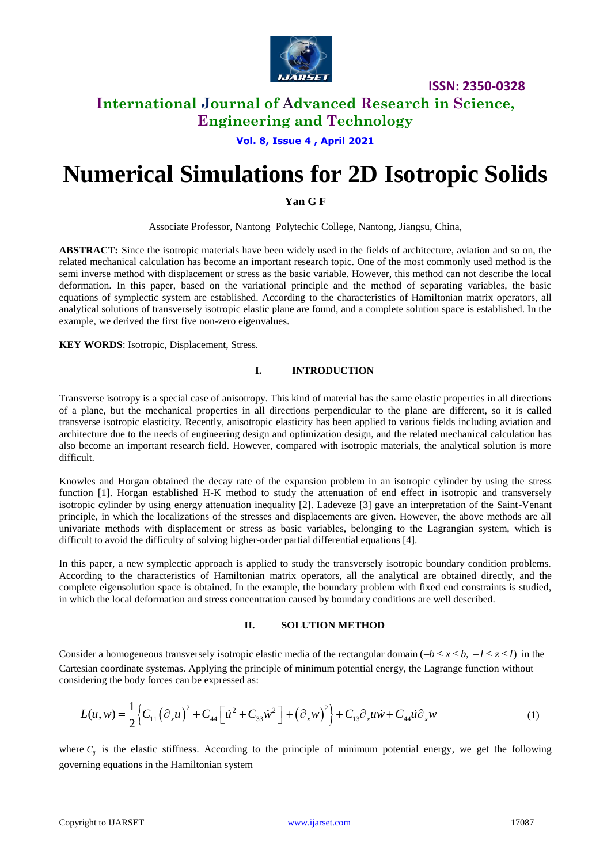

**ISSN: 2350-0328**

## **International Journal of Advanced Research in Science, Engineering and Technology**

**Vol. 8, Issue 4 , April 2021**

# **Numerical Simulations for 2D Isotropic Solids**

**Yan G F**

Associate Professor, Nantong Polytechic College, Nantong, Jiangsu, China,

**ABSTRACT:** Since the isotropic materials have been widely used in the fields of architecture, aviation and so on, the related mechanical calculation has become an important research topic. One of the most commonly used method is the semi inverse method with displacement or stress as the basic variable. However, this method can not describe the local deformation. In this paper, based on the variational principle and the method of separating variables, the basic equations of symplectic system are established. According to the characteristics of Hamiltonian matrix operators, all analytical solutions of transversely isotropic elastic plane are found, and a complete solution space is established. In the example, we derived the first five non-zero eigenvalues.

**KEY WORDS**: Isotropic, Displacement, Stress.

#### **I. INTRODUCTION**

Transverse isotropy is a special case of anisotropy. This kind of material has the same elastic properties in all directions of a plane, but the mechanical properties in all directions perpendicular to the plane are different, so it is called transverse isotropic elasticity. Recently, anisotropic elasticity has been applied to various fields including aviation and architecture due to the needs of engineering design and optimization design, and the related mechanical calculation has also become an important research field. However, compared with isotropic materials, the analytical solution is more difficult.

Knowles and Horgan obtained the decay rate of the expansion problem in an isotropic cylinder by using the stress function [1]. Horgan established H-K method to study the attenuation of end effect in isotropic and transversely isotropic cylinder by using energy attenuation inequality [2]. Ladeveze [3] gave an interpretation of the Saint-Venant principle, in which the localizations of the stresses and displacements are given. However, the above methods are all univariate methods with displacement or stress as basic variables, belonging to the Lagrangian system, which is difficult to avoid the difficulty of solving higher-order partial differential equations [4].

In this paper, a new symplectic approach is applied to study the transversely isotropic boundary condition problems. According to the characteristics of Hamiltonian matrix operators, all the analytical are obtained directly, and the complete eigensolution space is obtained. In the example, the boundary problem with fixed end constraints is studied, in which the local deformation and stress concentration caused by boundary conditions are well described.

#### **II. SOLUTION METHOD**

Consider a homogeneous transversely isotropic elastic media of the rectangular domain  $(-b \le x \le b, -l \le z \le l)$  in the Cartesian coordinate systemas. Applying the principle of minimum potential energy, the Lagrange function without

Cartesian coordinate systems. Applying the principle of minimum potential energy, the Lagrange function without considering the body forces can be expressed as:  
\n
$$
L(u, w) = \frac{1}{2} \Big\{ C_{11} (\partial_x u)^2 + C_{44} \Big[ \dot{u}^2 + C_{33} \dot{w}^2 \Big] + (\partial_x w)^2 \Big\} + C_{13} \partial_x u \dot{w} + C_{44} \dot{u} \partial_x w \qquad (1)
$$

where  $C_{ij}$  is the elastic stiffness. According to the principle of minimum potential energy, we get the following governing equations in the Hamiltonian system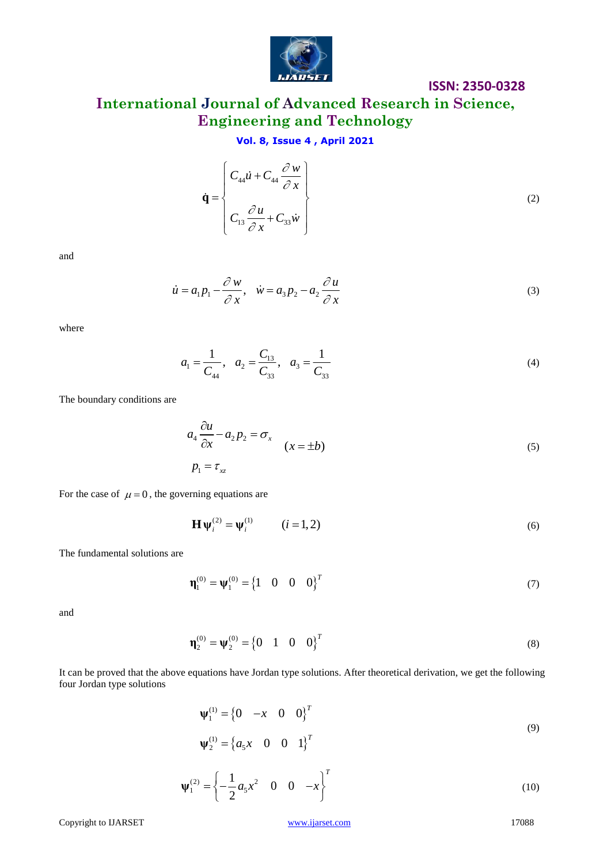

**ISSN: 2350-0328**

# **International Journal of Advanced Research in Science, Engineering and Technology**

### **Vol. 8, Issue 4 , April 2021**

$$
\dot{\mathbf{q}} = \begin{cases} C_{44}\dot{u} + C_{44} \frac{\partial w}{\partial x} \\ C_{13} \frac{\partial u}{\partial x} + C_{33}\dot{w} \end{cases}
$$
 (2)

and

$$
\dot{u} = a_1 p_1 - \frac{\partial w}{\partial x}, \quad \dot{w} = a_3 p_2 - a_2 \frac{\partial u}{\partial x}
$$
\n(3)

where

$$
a_1 = \frac{1}{C_{44}}, \quad a_2 = \frac{C_{13}}{C_{33}}, \quad a_3 = \frac{1}{C_{33}}
$$
 (4)

The boundary conditions are

$$
a_4 \frac{\partial u}{\partial x} - a_2 p_2 = \sigma_x \qquad (x = \pm b)
$$
\n
$$
p_1 = \tau_{xz} \tag{5}
$$

For the case of  $\mu = 0$ , the governing equations are

$$
\mathbf{H}\,\mathbf{\Psi}_i^{(2)} = \mathbf{\Psi}_i^{(1)} \qquad (i = 1, 2)
$$
 (6)

The fundamental solutions are

$$
\mathbf{\eta}_1^{(0)} = \mathbf{\psi}_1^{(0)} = \begin{cases} 1 & 0 & 0 & 0 \end{cases}^T
$$
 (7)

and

$$
\mathbf{\eta}_2^{(0)} = \mathbf{\psi}_2^{(0)} = \begin{cases} 0 & 1 & 0 & 0 \end{cases}^T
$$
 (8)

It can be proved that the above equations have Jordan type solutions. After theoretical derivation, we get the following four Jordan type solutions

$$
\Psi_1^{(1)} = \begin{cases} 0 & -x & 0 & 0 \end{cases}^T \n\Psi_2^{(1)} = \begin{cases} a_5 x & 0 & 0 & 1 \end{cases}^T
$$
\n(9)

$$
\Psi_1^{(2)} = \left\{ -\frac{1}{2} a_5 x^2 \quad 0 \quad 0 \quad -x \right\}^T
$$
 (10)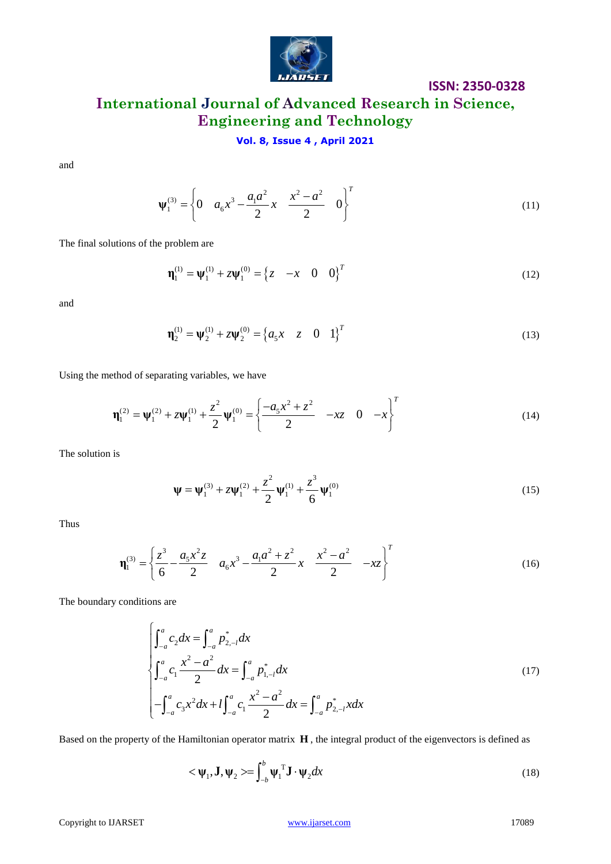

### **ISSN: 2350-0328**

# **International Journal of Advanced Research in Science, Engineering and Technology**

### **Vol. 8, Issue 4 , April 2021**

and

$$
\Psi_1^{(3)} = \left\{ 0 \quad a_6 x^3 - \frac{a_1 a^2}{2} x \quad \frac{x^2 - a^2}{2} \quad 0 \right\}^T \tag{11}
$$

The final solutions of the problem are

$$
\mathbf{\eta}_1^{(1)} = \mathbf{\psi}_1^{(1)} + z\mathbf{\psi}_1^{(0)} = \begin{cases} z & -x & 0 & 0 \end{cases}^T
$$
 (12)

and

$$
\mathbf{\eta}_2^{(1)} = \mathbf{\psi}_2^{(1)} + z\mathbf{\psi}_2^{(0)} = \begin{cases} a_5 x & z \quad 0 & 1 \end{cases}^T
$$
 (13)

Using the method of separating variables, we have  
\n
$$
\mathbf{\eta}_1^{(2)} = \mathbf{\psi}_1^{(2)} + z\mathbf{\psi}_1^{(1)} + \frac{z^2}{2}\mathbf{\psi}_1^{(0)} = \begin{cases} \frac{-a_5x^2 + z^2}{2} & -xz \quad 0 & -x \end{cases}
$$
\n(14)

The solution is

$$
\Psi = \Psi_1^{(3)} + z\Psi_1^{(2)} + \frac{z^2}{2}\Psi_1^{(1)} + \frac{z^3}{6}\Psi_1^{(0)}
$$
(15)

Thus

$$
\mathbf{\eta}_1^{(3)} = \left\{ \frac{z^3}{6} - \frac{a_5 x^2 z}{2} \quad a_6 x^3 - \frac{a_1 a^2 + z^2}{2} x \quad \frac{x^2 - a^2}{2} \quad -xz \right\}^T
$$
(16)

The boundary conditions are

ons are  
\n
$$
\int_{-a}^{a} c_2 dx = \int_{-a}^{a} p_{2,-l}^{*} dx
$$
\n
$$
\int_{-a}^{a} c_1 \frac{x^2 - a^2}{2} dx = \int_{-a}^{a} p_{1,-l}^{*} dx
$$
\n
$$
-\int_{-a}^{a} c_3 x^2 dx + l \int_{-a}^{a} c_1 \frac{x^2 - a^2}{2} dx = \int_{-a}^{a} p_{2,-l}^{*} x dx
$$
\n(17)

Based on the property of the Hamiltonian operator matrix **H** , the integral product of the eigenvectors is defined as

$$
\langle \mathbf{\Psi}_1, \mathbf{J}, \mathbf{\Psi}_2 \rangle = \int_{-b}^{b} \mathbf{\Psi}_1^{\mathrm{T}} \mathbf{J} \cdot \mathbf{\Psi}_2 dx \tag{18}
$$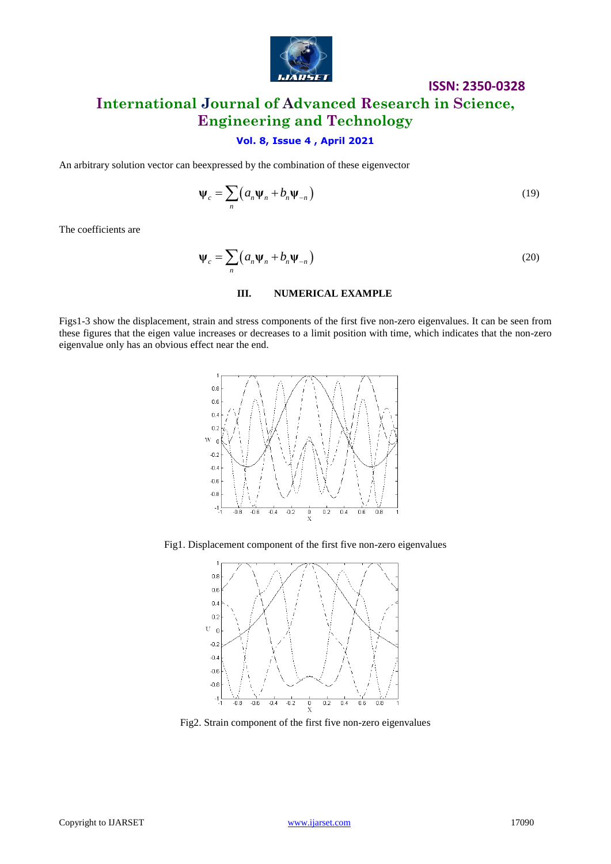

# **ISSN: 2350-0328 International Journal of Advanced Research in Science, Engineering and Technology**

### **Vol. 8, Issue 4 , April 2021**

An arbitrary solution vector can beexpressed by the combination of these eigenvector

$$
\Psi_c = \sum_n \left( a_n \Psi_n + b_n \Psi_{-n} \right) \tag{19}
$$

The coefficients are

$$
\Psi_c = \sum_n \left( a_n \Psi_n + b_n \Psi_{-n} \right) \tag{20}
$$

#### **III. NUMERICAL EXAMPLE**

Figs1-3 show the displacement, strain and stress components of the first five non-zero eigenvalues. It can be seen from these figures that the eigen value increases or decreases to a limit position with time, which indicates that the non-zero eigenvalue only has an obvious effect near the end.



Fig1. Displacement component of the first five non-zero eigenvalues



Fig2. Strain component of the first five non-zero eigenvalues